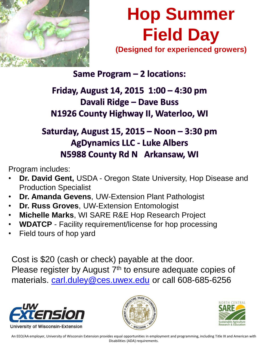

## **Hop Summer Field Day (Designed for experienced growers)**

Same Program - 2 locations:

Friday, August 14, 2015 1:00 – 4:30 pm Davali Ridge - Dave Buss N1926 County Highway II, Waterloo, WI

## Saturday, August 15, 2015 - Noon - 3:30 pm **AgDynamics LLC - Luke Albers** N5988 County Rd N Arkansaw, WI

Program includes:

- **Dr. David Gent,** USDA Oregon State University, Hop Disease and Production Specialist
- **Dr. Amanda Gevens**, UW-Extension Plant Pathologist
- **Dr. Russ Groves**, UW-Extension Entomologist
- **Michelle Marks**, WI SARE R&E Hop Research Project
- **WDATCP**  Facility requirement/license for hop processing
- Field tours of hop yard

Cost is \$20 (cash or check) payable at the door. Please register by August 7<sup>th</sup> to ensure adequate copies of materials. [carl.duley@ces.uwex.edu](mailto:carl.duley@ces.uwex.edu) or call 608-685-6256







An EEO/AA employer, University of Wisconsin Extension provides equal opportunities in employment and programming, including Title IX and American with Disabilities (ADA) requirements.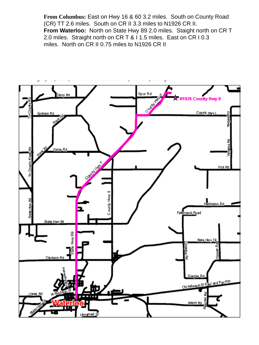**From Columbus:** East on Hwy 16 & 60 3.2 miles. South on County Road (CR) TT 2.6 miles. South on CR II 3.3 miles to N1926 CR II. **From Waterloo:** North on State Hwy 89 2.0 miles. Staight north on CR T 2.0 miles. Straight north on CR T & I 1.5 miles. East on CR I 0.3 miles. North on CR II 0.75 miles to N1926 CR II